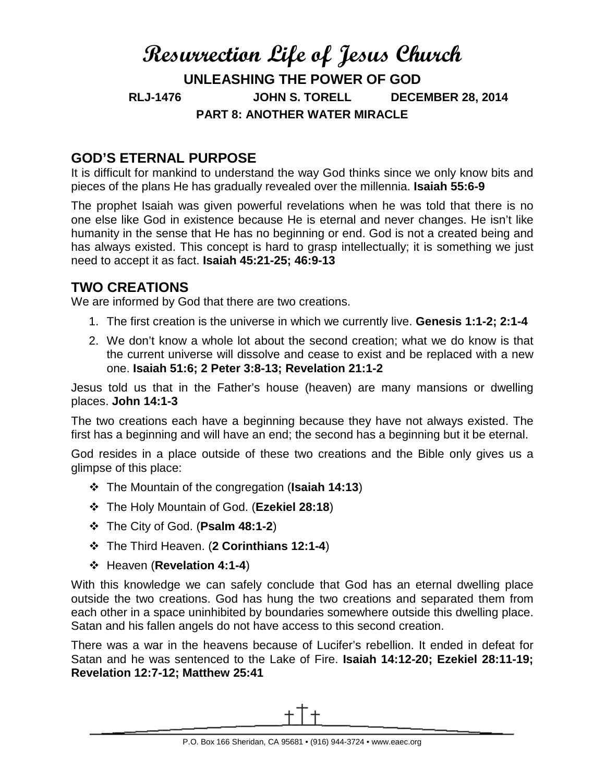# **Resurrection Life of Jesus Church UNLEASHING THE POWER OF GOD RLJ-1476 JOHN S. TORELL DECEMBER 28, 2014 PART 8: ANOTHER WATER MIRACLE**

#### **GOD'S ETERNAL PURPOSE**

It is difficult for mankind to understand the way God thinks since we only know bits and pieces of the plans He has gradually revealed over the millennia. **Isaiah 55:6-9**

The prophet Isaiah was given powerful revelations when he was told that there is no one else like God in existence because He is eternal and never changes. He isn't like humanity in the sense that He has no beginning or end. God is not a created being and has always existed. This concept is hard to grasp intellectually; it is something we just need to accept it as fact. **Isaiah 45:21-25; 46:9-13**

## **TWO CREATIONS**

We are informed by God that there are two creations.

- 1. The first creation is the universe in which we currently live. **Genesis 1:1-2; 2:1-4**
- 2. We don't know a whole lot about the second creation; what we do know is that the current universe will dissolve and cease to exist and be replaced with a new one. **Isaiah 51:6; 2 Peter 3:8-13; Revelation 21:1-2**

Jesus told us that in the Father's house (heaven) are many mansions or dwelling places. **John 14:1-3**

The two creations each have a beginning because they have not always existed. The first has a beginning and will have an end; the second has a beginning but it be eternal.

God resides in a place outside of these two creations and the Bible only gives us a glimpse of this place:

- The Mountain of the congregation (**Isaiah 14:13**)
- The Holy Mountain of God. (**Ezekiel 28:18**)
- The City of God. (**Psalm 48:1-2**)
- The Third Heaven. (**2 Corinthians 12:1-4**)
- Heaven (**Revelation 4:1-4**)

With this knowledge we can safely conclude that God has an eternal dwelling place outside the two creations. God has hung the two creations and separated them from each other in a space uninhibited by boundaries somewhere outside this dwelling place. Satan and his fallen angels do not have access to this second creation.

There was a war in the heavens because of Lucifer's rebellion. It ended in defeat for Satan and he was sentenced to the Lake of Fire. **Isaiah 14:12-20; Ezekiel 28:11-19; Revelation 12:7-12; Matthew 25:41**

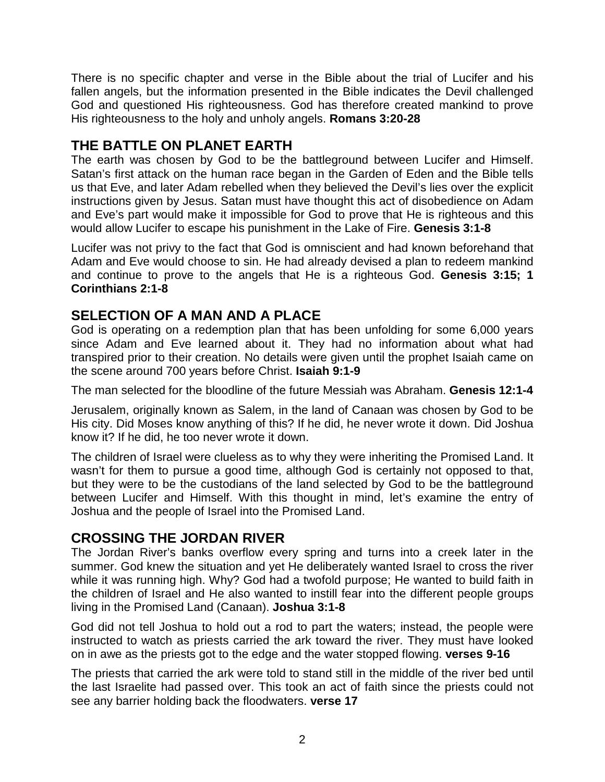There is no specific chapter and verse in the Bible about the trial of Lucifer and his fallen angels, but the information presented in the Bible indicates the Devil challenged God and questioned His righteousness. God has therefore created mankind to prove His righteousness to the holy and unholy angels. **Romans 3:20-28**

# **THE BATTLE ON PLANET EARTH**

The earth was chosen by God to be the battleground between Lucifer and Himself. Satan's first attack on the human race began in the Garden of Eden and the Bible tells us that Eve, and later Adam rebelled when they believed the Devil's lies over the explicit instructions given by Jesus. Satan must have thought this act of disobedience on Adam and Eve's part would make it impossible for God to prove that He is righteous and this would allow Lucifer to escape his punishment in the Lake of Fire. **Genesis 3:1-8**

Lucifer was not privy to the fact that God is omniscient and had known beforehand that Adam and Eve would choose to sin. He had already devised a plan to redeem mankind and continue to prove to the angels that He is a righteous God. **Genesis 3:15; 1 Corinthians 2:1-8**

## **SELECTION OF A MAN AND A PLACE**

God is operating on a redemption plan that has been unfolding for some 6,000 years since Adam and Eve learned about it. They had no information about what had transpired prior to their creation. No details were given until the prophet Isaiah came on the scene around 700 years before Christ. **Isaiah 9:1-9**

The man selected for the bloodline of the future Messiah was Abraham. **Genesis 12:1-4**

Jerusalem, originally known as Salem, in the land of Canaan was chosen by God to be His city. Did Moses know anything of this? If he did, he never wrote it down. Did Joshua know it? If he did, he too never wrote it down.

The children of Israel were clueless as to why they were inheriting the Promised Land. It wasn't for them to pursue a good time, although God is certainly not opposed to that, but they were to be the custodians of the land selected by God to be the battleground between Lucifer and Himself. With this thought in mind, let's examine the entry of Joshua and the people of Israel into the Promised Land.

# **CROSSING THE JORDAN RIVER**

The Jordan River's banks overflow every spring and turns into a creek later in the summer. God knew the situation and yet He deliberately wanted Israel to cross the river while it was running high. Why? God had a twofold purpose; He wanted to build faith in the children of Israel and He also wanted to instill fear into the different people groups living in the Promised Land (Canaan). **Joshua 3:1-8**

God did not tell Joshua to hold out a rod to part the waters; instead, the people were instructed to watch as priests carried the ark toward the river. They must have looked on in awe as the priests got to the edge and the water stopped flowing. **verses 9-16**

The priests that carried the ark were told to stand still in the middle of the river bed until the last Israelite had passed over. This took an act of faith since the priests could not see any barrier holding back the floodwaters. **verse 17**